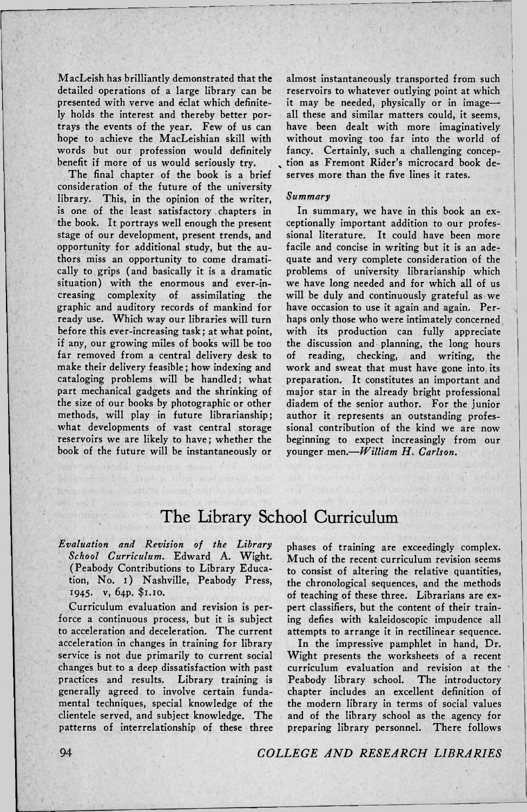MacLeish has brilliantly demonstrated that the detailed operations of a large library can be presented with verve and eclat which definitely holds the interest and thereby better portrays the events of the year. Few of us can hope to achieve the MacLeishian skill with words but our profession would definitely benefit if more of us would seriously try.

The final chapter of the book is a brief consideration of the future of the university library. This, in the opinion of the writer, is one of the least satisfactory chapters in the book. It portrays well enough the present stage of our development, present trends, and opportunity for additional study, but the authors miss an opportunity to come dramatically to grips (and basically it is a dramatic situation) with the enormous and ever-increasing complexity of assimilating the graphic and auditory records of mankind for ready use. Which way our libraries will turn before this ever-increasing task; at what point, if any, our growing miles of books will be too far removed from a central delivery desk to make their delivery feasible; how indexing and cataloging problems will be handled; what part mechanical gadgets and the shrinking of the size of our books by photographic or other methods, will play in future librarianship; what developments of vast central storage reservoirs we are likely to have; whether the book of the future will be instantaneously or almost instantaneously transported from such reservoirs to whatever outlying point at which it may be needed, physically or in image all these and similar matters could, it seems, have been dealt with more imaginatively without moving too far into the world of fancy. Certainly, such a challenging conception as Fremont Rider's microcard book deserves more than the five lines it rates.

## *Summary*

In summary, we have in this book an exceptionally important addition to our professional literature. It could have been more facile and concise in writing but it is an adequate and very complete consideration of the problems of university librarianship which we have long needed and for which all of us will be duly and continuously grateful as we have occasion to use it again and again. Perhaps only those who were intimately concerned with its production can fully appreciate the discussion and planning, the long hours of reading, checking, and writing, the work and sweat that must have gone into its preparation. It constitutes an important and major star in the already bright professional diadem of the senior author. For the junior author it represents an outstanding professional contribution of the kind we are now beginning to expect increasingly from our younger men.—*William H. Carlson.* 

## The Library School Curriculum

*Evaluation and Revision of the Library School Curriculum.* Edward A. Wight. (Peabody Contributions to Library Education, No. i) Nashville, Peabody Press, 1945. v, 64P. \$1.10.

iteit da leisme

Curriculum evaluation and revision is perforce a continuous process, but it is subject to acceleration and deceleration. The current acceleration in changes in training for library service is not due primarily to current social changes but to a deep dissatisfaction with past practices and results. Library training is generally agreed to involve certain fundamental techniques, special knowledge of the clientele served, and subject knowledge. The patterns of interrelationship of these three phases of training are exceedingly complex. Much of the recent curriculum revision seems to consist of altering the relative quantities, the chronological sequences, and the methods of teaching of these three. Librarians are expert classifiers, but the content of their training defies with kaleidoscopic impudence all attempts to arrange it in rectilinear sequence.

In the impressive pamphlet in hand, Dr. Wight presents the worksheets of a recent curriculum evaluation and revision at the Peabody library school. The introductory chapter includes an excellent definition of the modern library in terms of social values and of the library school as the agency for preparing library personnel. There follows

94 *COLLEGE AND RESEARCH LIBRARIES*